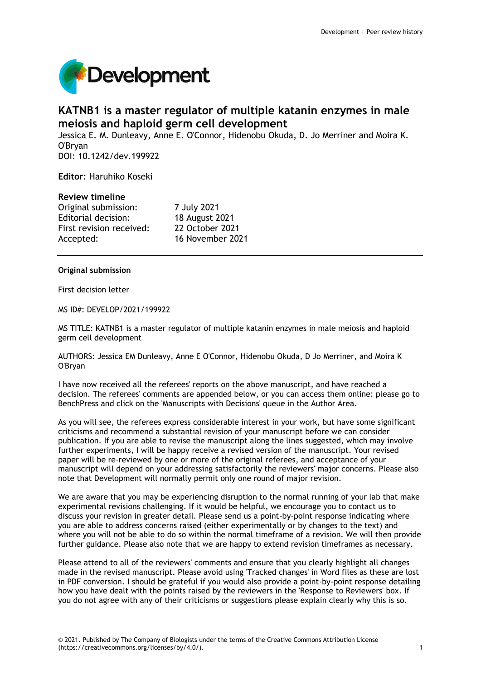

# **KATNB1 is a master regulator of multiple katanin enzymes in male meiosis and haploid germ cell development**

Jessica E. M. Dunleavy, Anne E. O'Connor, Hidenobu Okuda, D. Jo Merriner and Moira K. O'Bryan DOI: 10.1242/dev.199922

**Editor**: Haruhiko Koseki

## **Review timeline**

Original submission: 7 July 2021 Editorial decision: 18 August 2021 First revision received: 22 October 2021 Accepted: 16 November 2021

## **Original submission**

First decision letter

MS ID#: DEVELOP/2021/199922

MS TITLE: KATNB1 is a master regulator of multiple katanin enzymes in male meiosis and haploid germ cell development

AUTHORS: Jessica EM Dunleavy, Anne E O'Connor, Hidenobu Okuda, D Jo Merriner, and Moira K O'Bryan

I have now received all the referees' reports on the above manuscript, and have reached a decision. The referees' comments are appended below, or you can access them online: please go to BenchPress and click on the 'Manuscripts with Decisions' queue in the Author Area.

As you will see, the referees express considerable interest in your work, but have some significant criticisms and recommend a substantial revision of your manuscript before we can consider publication. If you are able to revise the manuscript along the lines suggested, which may involve further experiments, I will be happy receive a revised version of the manuscript. Your revised paper will be re-reviewed by one or more of the original referees, and acceptance of your manuscript will depend on your addressing satisfactorily the reviewers' major concerns. Please also note that Development will normally permit only one round of major revision.

We are aware that you may be experiencing disruption to the normal running of your lab that make experimental revisions challenging. If it would be helpful, we encourage you to contact us to discuss your revision in greater detail. Please send us a point-by-point response indicating where you are able to address concerns raised (either experimentally or by changes to the text) and where you will not be able to do so within the normal timeframe of a revision. We will then provide further guidance. Please also note that we are happy to extend revision timeframes as necessary.

Please attend to all of the reviewers' comments and ensure that you clearly highlight all changes made in the revised manuscript. Please avoid using 'Tracked changes' in Word files as these are lost in PDF conversion. I should be grateful if you would also provide a point-by-point response detailing how you have dealt with the points raised by the reviewers in the 'Response to Reviewers' box. If you do not agree with any of their criticisms or suggestions please explain clearly why this is so.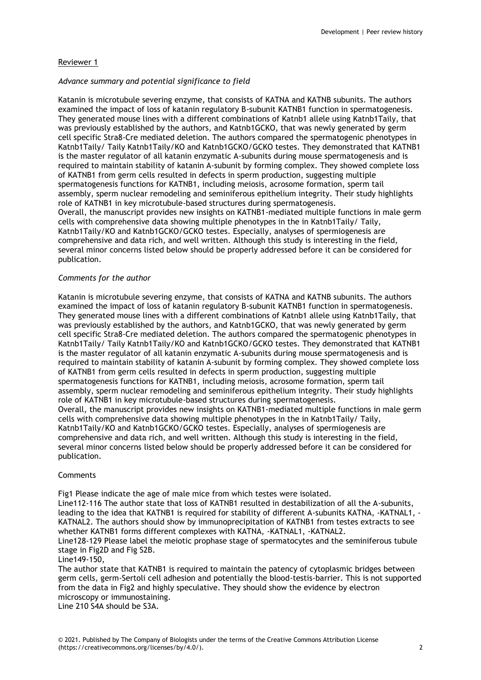# Reviewer 1

## *Advance summary and potential significance to field*

Katanin is microtubule severing enzyme, that consists of KATNA and KATNB subunits. The authors examined the impact of loss of katanin regulatory B-subunit KATNB1 function in spermatogenesis. They generated mouse lines with a different combinations of Katnb1 allele using Katnb1Taily, that was previously established by the authors, and Katnb1GCKO, that was newly generated by germ cell specific Stra8-Cre mediated deletion. The authors compared the spermatogenic phenotypes in Katnb1Taily/ Taily Katnb1Taily/KO and Katnb1GCKO/GCKO testes. They demonstrated that KATNB1 is the master regulator of all katanin enzymatic A-subunits during mouse spermatogenesis and is required to maintain stability of katanin A-subunit by forming complex. They showed complete loss of KATNB1 from germ cells resulted in defects in sperm production, suggesting multiple spermatogenesis functions for KATNB1, including meiosis, acrosome formation, sperm tail assembly, sperm nuclear remodeling and seminiferous epithelium integrity. Their study highlights role of KATNB1 in key microtubule-based structures during spermatogenesis. Overall, the manuscript provides new insights on KATNB1-mediated multiple functions in male germ cells with comprehensive data showing multiple phenotypes in the in Katnb1Taily/ Taily, Katnb1Taily/KO and Katnb1GCKO/GCKO testes. Especially, analyses of spermiogenesis are comprehensive and data rich, and well written. Although this study is interesting in the field, several minor concerns listed below should be properly addressed before it can be considered for publication.

## *Comments for the author*

Katanin is microtubule severing enzyme, that consists of KATNA and KATNB subunits. The authors examined the impact of loss of katanin regulatory B-subunit KATNB1 function in spermatogenesis. They generated mouse lines with a different combinations of Katnb1 allele using Katnb1Taily, that was previously established by the authors, and Katnb1GCKO, that was newly generated by germ cell specific Stra8-Cre mediated deletion. The authors compared the spermatogenic phenotypes in Katnb1Taily/ Taily Katnb1Taily/KO and Katnb1GCKO/GCKO testes. They demonstrated that KATNB1 is the master regulator of all katanin enzymatic A-subunits during mouse spermatogenesis and is required to maintain stability of katanin A-subunit by forming complex. They showed complete loss of KATNB1 from germ cells resulted in defects in sperm production, suggesting multiple spermatogenesis functions for KATNB1, including meiosis, acrosome formation, sperm tail assembly, sperm nuclear remodeling and seminiferous epithelium integrity. Their study highlights role of KATNB1 in key microtubule-based structures during spermatogenesis. Overall, the manuscript provides new insights on KATNB1-mediated multiple functions in male germ cells with comprehensive data showing multiple phenotypes in the in Katnb1Taily/ Taily, Katnb1Taily/KO and Katnb1GCKO/GCKO testes. Especially, analyses of spermiogenesis are comprehensive and data rich, and well written. Although this study is interesting in the field, several minor concerns listed below should be properly addressed before it can be considered for publication.

# **Comments**

Fig1 Please indicate the age of male mice from which testes were isolated.

Line112-116 The author state that loss of KATNB1 resulted in destabilization of all the A-subunits, leading to the idea that KATNB1 is required for stability of different A-subunits KATNA, -KATNAL1, - KATNAL2. The authors should show by immunoprecipitation of KATNB1 from testes extracts to see whether KATNB1 forms different complexes with KATNA, -KATNAL1, -KATNAL2.

Line128-129 Please label the meiotic prophase stage of spermatocytes and the seminiferous tubule stage in Fig2D and Fig S2B.

## Line149-150,

The author state that KATNB1 is required to maintain the patency of cytoplasmic bridges between germ cells, germ-Sertoli cell adhesion and potentially the blood-testis-barrier. This is not supported from the data in Fig2 and highly speculative. They should show the evidence by electron microscopy or immunostaining.

Line 210 S4A should be S3A.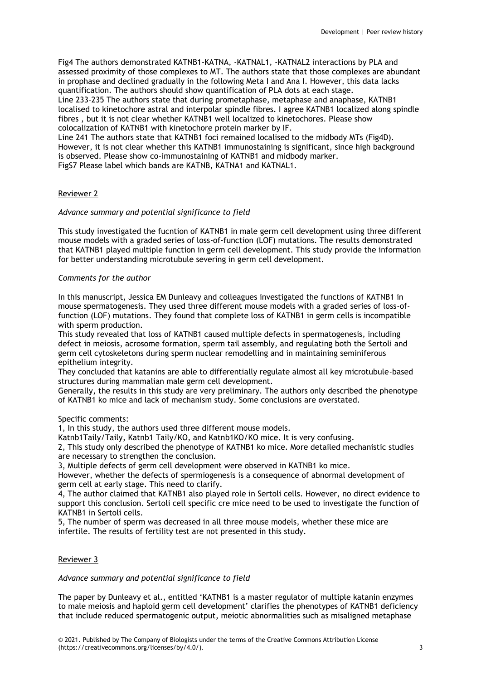Fig4 The authors demonstrated KATNB1-KATNA, -KATNAL1, -KATNAL2 interactions by PLA and assessed proximity of those complexes to MT. The authors state that those complexes are abundant in prophase and declined gradually in the following Meta I and Ana I. However, this data lacks quantification. The authors should show quantification of PLA dots at each stage. Line 233-235 The authors state that during prometaphase, metaphase and anaphase, KATNB1 localised to kinetochore astral and interpolar spindle fibres. I agree KATNB1 localized along spindle fibres , but it is not clear whether KATNB1 well localized to kinetochores. Please show colocalization of KATNB1 with kinetochore protein marker by IF.

Line 241 The authors state that KATNB1 foci remained localised to the midbody MTs (Fig4D). However, it is not clear whether this KATNB1 immunostaining is significant, since high background is observed. Please show co-immunostaining of KATNB1 and midbody marker. FigS7 Please label which bands are KATNB, KATNA1 and KATNAL1.

## Reviewer 2

## *Advance summary and potential significance to field*

This study investigated the fucntion of KATNB1 in male germ cell development using three different mouse models with a graded series of loss-of-function (LOF) mutations. The results demonstrated that KATNB1 played multiple function in germ cell development. This study provide the information for better understanding microtubule severing in germ cell development.

#### *Comments for the author*

In this manuscript, Jessica EM Dunleavy and colleagues investigated the functions of KATNB1 in mouse spermatogenesis. They used three different mouse models with a graded series of loss-offunction (LOF) mutations. They found that complete loss of KATNB1 in germ cells is incompatible with sperm production.

This study revealed that loss of KATNB1 caused multiple defects in spermatogenesis, including defect in meiosis, acrosome formation, sperm tail assembly, and regulating both the Sertoli and germ cell cytoskeletons during sperm nuclear remodelling and in maintaining seminiferous epithelium integrity.

They concluded that katanins are able to differentially regulate almost all key microtubule-based structures during mammalian male germ cell development.

Generally, the results in this study are very preliminary. The authors only described the phenotype of KATNB1 ko mice and lack of mechanism study. Some conclusions are overstated.

#### Specific comments:

1, In this study, the authors used three different mouse models.

Katnb1Taily/Taily, Katnb1 Taily/KO, and Katnb1KO/KO mice. It is very confusing.

2, This study only described the phenotype of KATNB1 ko mice. More detailed mechanistic studies are necessary to strengthen the conclusion.

3, Multiple defects of germ cell development were observed in KATNB1 ko mice.

However, whether the defects of spermiogenesis is a consequence of abnormal development of germ cell at early stage. This need to clarify.

4, The author claimed that KATNB1 also played role in Sertoli cells. However, no direct evidence to support this conclusion. Sertoli cell specific cre mice need to be used to investigate the function of KATNB1 in Sertoli cells.

5, The number of sperm was decreased in all three mouse models, whether these mice are infertile. The results of fertility test are not presented in this study.

## Reviewer 3

## *Advance summary and potential significance to field*

The paper by Dunleavy et al., entitled 'KATNB1 is a master regulator of multiple katanin enzymes to male meiosis and haploid germ cell development' clarifies the phenotypes of KATNB1 deficiency that include reduced spermatogenic output, meiotic abnormalities such as misaligned metaphase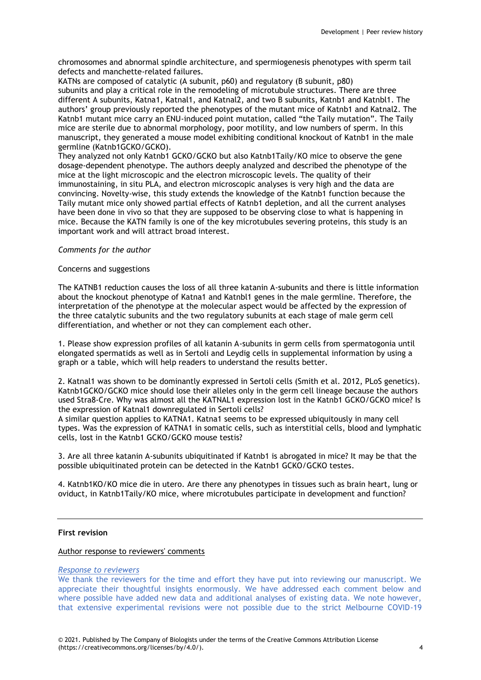chromosomes and abnormal spindle architecture, and spermiogenesis phenotypes with sperm tail defects and manchette-related failures.

KATNs are composed of catalytic (A subunit, p60) and regulatory (B subunit, p80) subunits and play a critical role in the remodeling of microtubule structures. There are three different A subunits, Katna1, Katnal1, and Katnal2, and two B subunits, Katnb1 and Katnbl1. The authors' group previously reported the phenotypes of the mutant mice of Katnb1 and Katnal2. The Katnb1 mutant mice carry an ENU-induced point mutation, called "the Taily mutation". The Taily mice are sterile due to abnormal morphology, poor motility, and low numbers of sperm. In this manuscript, they generated a mouse model exhibiting conditional knockout of Katnb1 in the male germline (Katnb1GCKO/GCKO).

They analyzed not only Katnb1 GCKO/GCKO but also Katnb1Taily/KO mice to observe the gene dosage-dependent phenotype. The authors deeply analyzed and described the phenotype of the mice at the light microscopic and the electron microscopic levels. The quality of their immunostaining, in situ PLA, and electron microscopic analyses is very high and the data are convincing. Novelty-wise, this study extends the knowledge of the Katnb1 function because the Taily mutant mice only showed partial effects of Katnb1 depletion, and all the current analyses have been done in vivo so that they are supposed to be observing close to what is happening in mice. Because the KATN family is one of the key microtubules severing proteins, this study is an important work and will attract broad interest.

## *Comments for the author*

## Concerns and suggestions

The KATNB1 reduction causes the loss of all three katanin A-subunits and there is little information about the knockout phenotype of Katna1 and Katnbl1 genes in the male germline. Therefore, the interpretation of the phenotype at the molecular aspect would be affected by the expression of the three catalytic subunits and the two regulatory subunits at each stage of male germ cell differentiation, and whether or not they can complement each other.

1. Please show expression profiles of all katanin A-subunits in germ cells from spermatogonia until elongated spermatids as well as in Sertoli and Leydig cells in supplemental information by using a graph or a table, which will help readers to understand the results better.

2. Katnal1 was shown to be dominantly expressed in Sertoli cells (Smith et al. 2012, PLoS genetics). Katnb1GCKO/GCKO mice should lose their alleles only in the germ cell lineage because the authors used Stra8-Cre. Why was almost all the KATNAL1 expression lost in the Katnb1 GCKO/GCKO mice? Is the expression of Katnal1 downregulated in Sertoli cells?

A similar question applies to KATNA1. Katna1 seems to be expressed ubiquitously in many cell types. Was the expression of KATNA1 in somatic cells, such as interstitial cells, blood and lymphatic cells, lost in the Katnb1 GCKO/GCKO mouse testis?

3. Are all three katanin A-subunits ubiquitinated if Katnb1 is abrogated in mice? It may be that the possible ubiquitinated protein can be detected in the Katnb1 GCKO/GCKO testes.

4. Katnb1KO/KO mice die in utero. Are there any phenotypes in tissues such as brain heart, lung or oviduct, in Katnb1Taily/KO mice, where microtubules participate in development and function?

# **First revision**

## Author response to reviewers' comments

## *Response to reviewers*

We thank the reviewers for the time and effort they have put into reviewing our manuscript. We appreciate their thoughtful insights enormously. We have addressed each comment below and where possible have added new data and additional analyses of existing data. We note however, that extensive experimental revisions were not possible due to the strict Melbourne COVID-19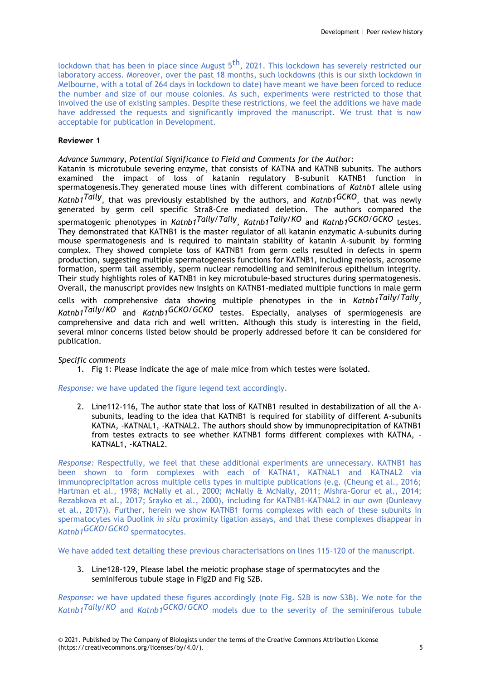lockdown that has been in place since August 5<sup>th</sup>, 2021. This lockdown has severely restricted our laboratory access. Moreover, over the past 18 months, such lockdowns (this is our sixth lockdown in Melbourne, with a total of 264 days in lockdown to date) have meant we have been forced to reduce the number and size of our mouse colonies. As such, experiments were restricted to those that involved the use of existing samples. Despite these restrictions, we feel the additions we have made have addressed the requests and significantly improved the manuscript. We trust that is now acceptable for publication in Development.

## **Reviewer 1**

*Advance Summary, Potential Significance to Field and Comments for the Author:* Katanin is microtubule severing enzyme, that consists of KATNA and KATNB subunits. The authors examined the impact of loss of katanin regulatory B-subunit KATNB1 function in spermatogenesis.They generated mouse lines with different combinations of *Katnb1* allele using *Katnb1Taily*, that was previously established by the authors, and *Katnb1GCKO*, that was newly generated by germ cell specific Stra8-Cre mediated deletion. The authors compared the spermatogenic phenotypes in *Katnb1Taily/Taily, Katnb1Taily/KO* and *Katnb1GCKO/GCKO* testes. They demonstrated that KATNB1 is the master regulator of all katanin enzymatic A-subunits during mouse spermatogenesis and is required to maintain stability of katanin A-subunit by forming complex. They showed complete loss of KATNB1 from germ cells resulted in defects in sperm production, suggesting multiple spermatogenesis functions for KATNB1, including meiosis, acrosome formation, sperm tail assembly, sperm nuclear remodelling and seminiferous epithelium integrity. Their study highlights roles of KATNB1 in key microtubule-based structures during spermatogenesis. Overall, the manuscript provides new insights on KATNB1-mediated multiple functions in male germ cells with comprehensive data showing multiple phenotypes in the in *Katnb1Taily/Taily , Katnb1Taily/KO* and *Katnb1GCKO/GCKO* testes. Especially, analyses of spermiogenesis are comprehensive and data rich and well written. Although this study is interesting in the field, several minor concerns listed below should be properly addressed before it can be considered for publication.

## *Specific comments*

1. Fig 1: Please indicate the age of male mice from which testes were isolated.

*Response:* we have updated the figure legend text accordingly.

2. Line112-116, The author state that loss of KATNB1 resulted in destabilization of all the Asubunits, leading to the idea that KATNB1 is required for stability of different A-subunits KATNA, -KATNAL1, -KATNAL2. The authors should show by immunoprecipitation of KATNB1 from testes extracts to see whether KATNB1 forms different complexes with KATNA, - KATNAL1, -KATNAL2.

*Response:* Respectfully, we feel that these additional experiments are unnecessary. KATNB1 has been shown to form complexes with each of KATNA1, KATNAL1 and KATNAL2 via immunoprecipitation across multiple cells types in multiple publications (e.g. (Cheung et al., 2016; Hartman et al., 1998; McNally et al., 2000; McNally & McNally, 2011; Mishra-Gorur et al., 2014; Rezabkova et al., 2017; Srayko et al., 2000), including for KATNB1-KATNAL2 in our own (Dunleavy et al., 2017)). Further, herein we show KATNB1 forms complexes with each of these subunits in spermatocytes via Duolink *in situ* proximity ligation assays, and that these complexes disappear in *Katnb1GCKO/GCKO* spermatocytes.

We have added text detailing these previous characterisations on lines 115-120 of the manuscript.

3. Line128-129, Please label the meiotic prophase stage of spermatocytes and the seminiferous tubule stage in Fig2D and Fig S2B.

*Response:* we have updated these figures accordingly (note Fig. S2B is now S3B). We note for the *Katnb1Taily/KO* and *Katnb1GCKO/GCKO* models due to the severity of the seminiferous tubule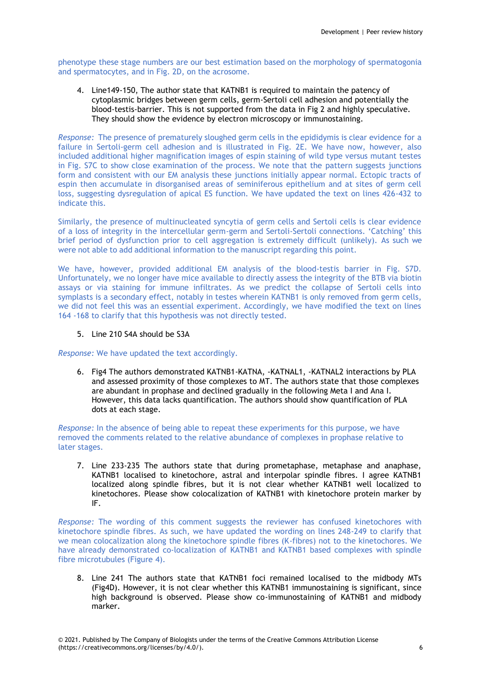phenotype these stage numbers are our best estimation based on the morphology of spermatogonia and spermatocytes, and in Fig. 2D, on the acrosome.

4. Line149-150, The author state that KATNB1 is required to maintain the patency of cytoplasmic bridges between germ cells, germ-Sertoli cell adhesion and potentially the blood-testis-barrier. This is not supported from the data in Fig 2 and highly speculative. They should show the evidence by electron microscopy or immunostaining.

*Response:* The presence of prematurely sloughed germ cells in the epididymis is clear evidence for a failure in Sertoli-germ cell adhesion and is illustrated in Fig. 2E. We have now, however, also included additional higher magnification images of espin staining of wild type versus mutant testes in Fig. S7C to show close examination of the process. We note that the pattern suggests junctions form and consistent with our EM analysis these junctions initially appear normal. Ectopic tracts of espin then accumulate in disorganised areas of seminiferous epithelium and at sites of germ cell loss, suggesting dysregulation of apical ES function. We have updated the text on lines 426-432 to indicate this.

Similarly, the presence of multinucleated syncytia of germ cells and Sertoli cells is clear evidence of a loss of integrity in the intercellular germ-germ and Sertoli-Sertoli connections. 'Catching' this brief period of dysfunction prior to cell aggregation is extremely difficult (unlikely). As such we were not able to add additional information to the manuscript regarding this point.

We have, however, provided additional EM analysis of the blood-testis barrier in Fig. S7D. Unfortunately, we no longer have mice available to directly assess the integrity of the BTB via biotin assays or via staining for immune infiltrates. As we predict the collapse of Sertoli cells into symplasts is a secondary effect, notably in testes wherein KATNB1 is only removed from germ cells, we did not feel this was an essential experiment. Accordingly, we have modified the text on lines 164 -168 to clarify that this hypothesis was not directly tested.

## 5. Line 210 S4A should be S3A

*Response:* We have updated the text accordingly.

6. Fig4 The authors demonstrated KATNB1-KATNA, -KATNAL1, -KATNAL2 interactions by PLA and assessed proximity of those complexes to MT. The authors state that those complexes are abundant in prophase and declined gradually in the following Meta I and Ana I. However, this data lacks quantification. The authors should show quantification of PLA dots at each stage.

*Response:* In the absence of being able to repeat these experiments for this purpose, we have removed the comments related to the relative abundance of complexes in prophase relative to later stages.

7. Line 233-235 The authors state that during prometaphase, metaphase and anaphase, KATNB1 localised to kinetochore, astral and interpolar spindle fibres. I agree KATNB1 localized along spindle fibres, but it is not clear whether KATNB1 well localized to kinetochores. Please show colocalization of KATNB1 with kinetochore protein marker by IF.

*Response:* The wording of this comment suggests the reviewer has confused kinetochores with kinetochore spindle fibres. As such, we have updated the wording on lines 248-249 to clarify that we mean colocalization along the kinetochore spindle fibres (K-fibres) not to the kinetochores. We have already demonstrated co-localization of KATNB1 and KATNB1 based complexes with spindle fibre microtubules (Figure 4).

8. Line 241 The authors state that KATNB1 foci remained localised to the midbody MTs (Fig4D). However, it is not clear whether this KATNB1 immunostaining is significant, since high background is observed. Please show co-immunostaining of KATNB1 and midbody marker.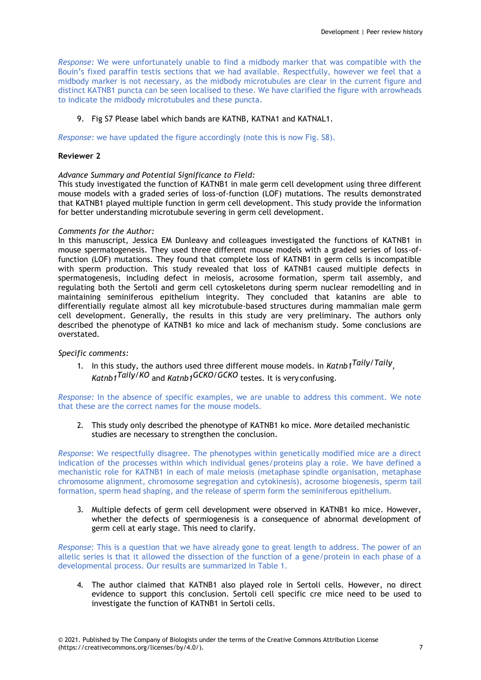*Response:* We were unfortunately unable to find a midbody marker that was compatible with the Bouin's fixed paraffin testis sections that we had available. Respectfully, however we feel that a midbody marker is not necessary, as the midbody microtubules are clear in the current figure and distinct KATNB1 puncta can be seen localised to these. We have clarified the figure with arrowheads to indicate the midbody microtubules and these puncta.

## 9. Fig S7 Please label which bands are KATNB, KATNA1 and KATNAL1.

*Response:* we have updated the figure accordingly (note this is now Fig. S8).

## **Reviewer 2**

## *Advance Summary and Potential Significance to Field:*

This study investigated the function of KATNB1 in male germ cell development using three different mouse models with a graded series of loss-of-function (LOF) mutations. The results demonstrated that KATNB1 played multiple function in germ cell development. This study provide the information for better understanding microtubule severing in germ cell development.

## *Comments for the Author:*

In this manuscript, Jessica EM Dunleavy and colleagues investigated the functions of KATNB1 in mouse spermatogenesis. They used three different mouse models with a graded series of loss-offunction (LOF) mutations. They found that complete loss of KATNB1 in germ cells is incompatible with sperm production. This study revealed that loss of KATNB1 caused multiple defects in spermatogenesis, including defect in meiosis, acrosome formation, sperm tail assembly, and regulating both the Sertoli and germ cell cytoskeletons during sperm nuclear remodelling and in maintaining seminiferous epithelium integrity. They concluded that katanins are able to differentially regulate almost all key microtubule-based structures during mammalian male germ cell development. Generally, the results in this study are very preliminary. The authors only described the phenotype of KATNB1 ko mice and lack of mechanism study. Some conclusions are overstated.

## *Specific comments:*

1. In this study, the authors used three different mouse models. in *Katnb1Taily/Taily , Katnb1Taily/KO* and *Katnb1GCKO/GCKO* testes. It is very confusing.

*Response:* In the absence of specific examples, we are unable to address this comment. We note that these are the correct names for the mouse models.

2. This study only described the phenotype of KATNB1 ko mice. More detailed mechanistic studies are necessary to strengthen the conclusion.

*Response*: We respectfully disagree. The phenotypes within genetically modified mice are a direct indication of the processes within which individual genes/proteins play a role. We have defined a mechanistic role for KATNB1 in each of male meiosis (metaphase spindle organisation, metaphase chromosome alignment, chromosome segregation and cytokinesis), acrosome biogenesis, sperm tail formation, sperm head shaping, and the release of sperm form the seminiferous epithelium.

3. Multiple defects of germ cell development were observed in KATNB1 ko mice. However, whether the defects of spermiogenesis is a consequence of abnormal development of germ cell at early stage. This need to clarify.

*Response*: This is a question that we have already gone to great length to address. The power of an allelic series is that it allowed the dissection of the function of a gene/protein in each phase of a developmental process. Our results are summarized in Table 1.

4. The author claimed that KATNB1 also played role in Sertoli cells. However, no direct evidence to support this conclusion. Sertoli cell specific cre mice need to be used to investigate the function of KATNB1 in Sertoli cells.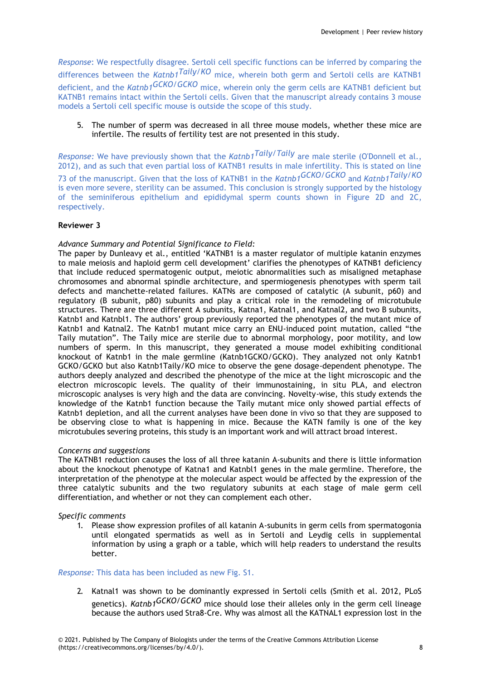*Response*: We respectfully disagree. Sertoli cell specific functions can be inferred by comparing the differences between the *Katnb1Taily/KO* mice, wherein both germ and Sertoli cells are KATNB1 deficient, and the *Katnb1GCKO/GCKO* mice, wherein only the germ cells are KATNB1 deficient but KATNB1 remains intact within the Sertoli cells. Given that the manuscript already contains 3 mouse models a Sertoli cell specific mouse is outside the scope of this study.

5. The number of sperm was decreased in all three mouse models, whether these mice are infertile. The results of fertility test are not presented in this study.

*Response:* We have previously shown that the *Katnb1Taily/Taily* are male sterile (O'Donnell et al., 2012), and as such that even partial loss of KATNB1 results in male infertility. This is stated on line 73 of the manuscript. Given that the loss of KATNB1 in the *Katnb1GCKO/GCKO* and *Katnb1Taily/KO*  is even more severe, sterility can be assumed. This conclusion is strongly supported by the histology of the seminiferous epithelium and epididymal sperm counts shown in Figure 2D and 2C, respectively.

## **Reviewer 3**

## *Advance Summary and Potential Significance to Field:*

The paper by Dunleavy et al., entitled 'KATNB1 is a master regulator of multiple katanin enzymes to male meiosis and haploid germ cell development' clarifies the phenotypes of KATNB1 deficiency that include reduced spermatogenic output, meiotic abnormalities such as misaligned metaphase chromosomes and abnormal spindle architecture, and spermiogenesis phenotypes with sperm tail defects and manchette-related failures. KATNs are composed of catalytic (A subunit, p60) and regulatory (B subunit, p80) subunits and play a critical role in the remodeling of microtubule structures. There are three different A subunits, Katna1, Katnal1, and Katnal2, and two B subunits, Katnb1 and Katnbl1. The authors' group previously reported the phenotypes of the mutant mice of Katnb1 and Katnal2. The Katnb1 mutant mice carry an ENU-induced point mutation, called "the Taily mutation". The Taily mice are sterile due to abnormal morphology, poor motility, and low numbers of sperm. In this manuscript, they generated a mouse model exhibiting conditional knockout of Katnb1 in the male germline (Katnb1GCKO/GCKO). They analyzed not only Katnb1 GCKO/GCKO but also Katnb1Taily/KO mice to observe the gene dosage-dependent phenotype. The authors deeply analyzed and described the phenotype of the mice at the light microscopic and the electron microscopic levels. The quality of their immunostaining, in situ PLA, and electron microscopic analyses is very high and the data are convincing. Novelty-wise, this study extends the knowledge of the Katnb1 function because the Taily mutant mice only showed partial effects of Katnb1 depletion, and all the current analyses have been done in vivo so that they are supposed to be observing close to what is happening in mice. Because the KATN family is one of the key microtubules severing proteins, this study is an important work and will attract broad interest.

## *Concerns and suggestions*

The KATNB1 reduction causes the loss of all three katanin A-subunits and there is little information about the knockout phenotype of Katna1 and Katnbl1 genes in the male germline. Therefore, the interpretation of the phenotype at the molecular aspect would be affected by the expression of the three catalytic subunits and the two regulatory subunits at each stage of male germ cell differentiation, and whether or not they can complement each other.

## *Specific comments*

1. Please show expression profiles of all katanin A-subunits in germ cells from spermatogonia until elongated spermatids as well as in Sertoli and Leydig cells in supplemental information by using a graph or a table, which will help readers to understand the results better.

## *Response:* This data has been included as new Fig. S1.

2. Katnal1 was shown to be dominantly expressed in Sertoli cells (Smith et al. 2012, PLoS genetics). *Katnb1GCKO/GCKO* mice should lose their alleles only in the germ cell lineage because the authors used Stra8-Cre. Why was almost all the KATNAL1 expression lost in the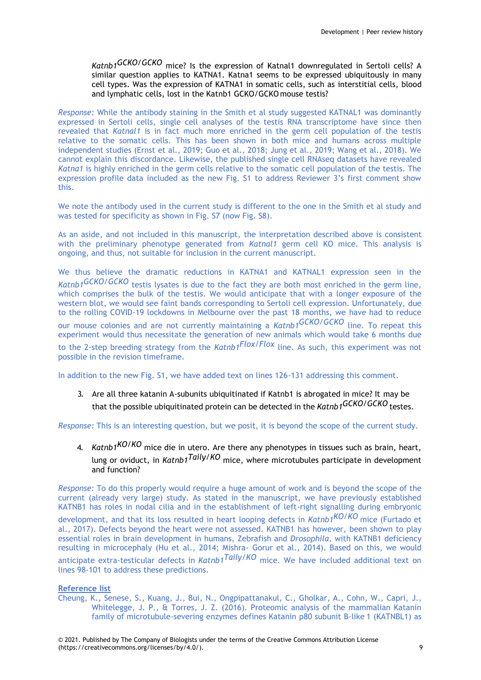*Katnb1GCKO/GCKO* mice? Is the expression of Katnal1 downregulated in Sertoli cells? A similar question applies to KATNA1. Katna1 seems to be expressed ubiquitously in many cell types. Was the expression of KATNA1 in somatic cells, such as interstitial cells, blood and lymphatic cells, lost in the Katnb1 GCKO/GCKO mouse testis?

*Response:* While the antibody staining in the Smith et al study suggested KATNAL1 was dominantly expressed in Sertoli cells, single cell analyses of the testis RNA transcriptome have since then revealed that *Katnal1* is in fact much more enriched in the germ cell population of the testis relative to the somatic cells. This has been shown in both mice and humans across multiple independent studies (Ernst et al., 2019; Guo et al., 2018; Jung et al., 2019; Wang et al., 2018). We cannot explain this discordance. Likewise, the published single cell RNAseq datasets have revealed *Katna1* is highly enriched in the germ cells relative to the somatic cell population of the testis. The expression profile data included as the new Fig. S1 to address Reviewer 3's first comment show this.

We note the antibody used in the current study is different to the one in the Smith et al study and was tested for specificity as shown in Fig. S7 (now Fig. S8).

As an aside, and not included in this manuscript, the interpretation described above is consistent with the preliminary phenotype generated from *Katnal1* germ cell KO mice. This analysis is ongoing, and thus, not suitable for inclusion in the current manuscript.

We thus believe the dramatic reductions in KATNA1 and KATNAL1 expression seen in the *Katnb1GCKO/GCKO* testis lysates is due to the fact they are both most enriched in the germ line, which comprises the bulk of the testis. We would anticipate that with a longer exposure of the western blot, we would see faint bands corresponding to Sertoli cell expression. Unfortunately, due to the rolling COVID-19 lockdowns in Melbourne over the past 18 months, we have had to reduce our mouse colonies and are not currently maintaining a *Katnb1GCKO/GCKO* line. To repeat this experiment would thus necessitate the generation of new animals which would take 6 months due to the 2-step breeding strategy from the *Katnb1Flox/Flox* line. As such, this experiment was not possible in the revision timeframe.

In addition to the new Fig. S1, we have added text on lines 126-131 addressing this comment.

3. Are all three katanin A-subunits ubiquitinated if Katnb1 is abrogated in mice? It may be that the possible ubiquitinated protein can be detected in the *Katnb1GCKO/GCKO* testes.

*Response:* This is an interesting question, but we posit, it is beyond the scope of the current study.

4. *Katnb1KO/KO* mice die in utero. Are there any phenotypes in tissues such as brain, heart, lung or oviduct, in *Katnb1Taily/KO* mice, where microtubules participate in development and function?

*Response:* To do this properly would require a huge amount of work and is beyond the scope of the current (already very large) study. As stated in the manuscript, we have previously established KATNB1 has roles in nodal cilia and in the establishment of left-right signalling during embryonic development, and that its loss resulted in heart looping defects in *Katnb1KO/KO* mice (Furtado et al., 2017). Defects beyond the heart were not assessed. KATNB1 has however, been shown to play essential roles in brain development in humans, Zebrafish and *Drosophila,* with KATNB1 deficiency resulting in microcephaly (Hu et al., 2014; Mishra- Gorur et al., 2014). Based on this, we would anticipate extra-testicular defects in *Katnb1Taily/KO* mice. We have included additional text on lines 98-101 to address these predictions.

#### **Reference list**

Cheung, K., Senese, S., Kuang, J., Bui, N., Ongpipattanakul, C., Gholkar, A., Cohn, W., Capri, J., Whitelegge, J. P., & Torres, J. Z. (2016). Proteomic analysis of the mammalian Katanin family of microtubule-severing enzymes defines Katanin p80 subunit B-like 1 (KATNBL1) as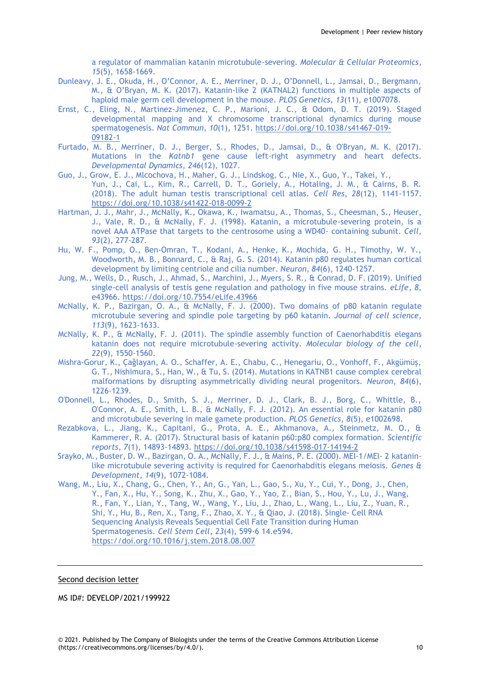a regulator of mammalian katanin microtubule-severing. *Molecular & Cellular Proteomics*, *15*(5), 1658-1669.

- Dunleavy, J. E., Okuda, H., O'Connor, A. E., Merriner, D. J., O'Donnell, L., Jamsai, D., Bergmann, M., & O'Bryan, M. K. (2017). Katanin-like 2 (KATNAL2) functions in multiple aspects of haploid male germ cell development in the mouse. *PLOS Genetics*, *13*(11), e1007078.
- Ernst, C., Eling, N., Martinez-Jimenez, C. P., Marioni, J. C., & Odom, D. T. (2019). Staged developmental mapping and X chromosome transcriptional dynamics during mouse spermatogenesis. *Nat Commun*, *10*(1), 1251. https://doi.org/10.1038/s41467-019- 09182-1
- Furtado, M. B., Merriner, D. J., Berger, S., Rhodes, D., Jamsai, D., & O'Bryan, M. K. (2017). Mutations in the *Katnb1* gene cause left‐right asymmetry and heart defects. *Developmental Dynamics*, *246*(12), 1027.
- Guo, J., Grow, E. J., Mlcochova, H., Maher, G. J., Lindskog, C., Nie, X., Guo, Y., Takei, Y., Yun, J., Cai, L., Kim, R., Carrell, D. T., Goriely, A., Hotaling, J. M., & Cairns, B. R. (2018). The adult human testis transcriptional cell atlas. *Cell Res*, *28*(12), 1141-1157. https://doi.org/10.1038/s41422-018-0099-2
- Hartman, J. J., Mahr, J., McNally, K., Okawa, K., Iwamatsu, A., Thomas, S., Cheesman, S., Heuser, J., Vale, R. D., & McNally, F. J. (1998). Katanin, a microtubule-severing protein, is a novel AAA ATPase that targets to the centrosome using a WD40- containing subunit. *Cell*, *93*(2), 277-287.
- Hu, W. F., Pomp, O., Ben-Omran, T., Kodani, A., Henke, K., Mochida, G. H., Timothy, W. Y., Woodworth, M. B., Bonnard, C., & Raj, G. S. (2014). Katanin p80 regulates human cortical development by limiting centriole and cilia number. *Neuron*, *84*(6), 1240-1257.
- Jung, M., Wells, D., Rusch, J., Ahmad, S., Marchini, J., Myers, S. R., & Conrad, D. F.(2019). Unified single-cell analysis of testis gene regulation and pathology in five mouse strains. *eLife*, *8*, e43966. https://doi.org/10.7554/eLife.43966
- McNally, K. P., Bazirgan, O. A., & McNally, F. J. (2000). Two domains of p80 katanin regulate microtubule severing and spindle pole targeting by p60 katanin. *Journal of cell science*, *113*(9), 1623-1633.
- McNally, K. P., & McNally, F. J. (2011). The spindle assembly function of Caenorhabditis elegans katanin does not require microtubule-severing activity. *Molecular biology of the cell*, *22*(9), 1550-1560.
- Mishra-Gorur, K., Çağlayan, A. O., Schaffer, A. E., Chabu, C., Henegariu, O., Vonhoff, F., Akgümüş, G. T., Nishimura, S., Han, W., & Tu, S. (2014). Mutations in KATNB1 cause complex cerebral malformations by disrupting asymmetrically dividing neural progenitors. *Neuron*, *84*(6), 1226-1239.
- O'Donnell, L., Rhodes, D., Smith, S. J., Merriner, D. J., Clark, B. J., Borg, C., Whittle, B., O'Connor, A. E., Smith, L. B., & McNally, F. J. (2012). An essential role for katanin p80 and microtubule severing in male gamete production. *PLOS Genetics*, *8*(5), e1002698.
- Rezabkova, L., Jiang, K., Capitani, G., Prota, A. E., Akhmanova, A., Steinmetz, M. O., & Kammerer, R. A. (2017). Structural basis of katanin p60:p80 complex formation. *Scientific reports*, *7*(1), 14893-14893. https://doi.org/10.1038/s41598-017-14194-2
- Srayko, M., Buster, D. W., Bazirgan, O. A., McNally, F. J., & Mains, P. E. (2000). MEI-1/MEI- 2 kataninlike microtubule severing activity is required for Caenorhabditis elegans meiosis. *Genes & Development*, *14*(9), 1072-1084.
- Wang, M., Liu, X., Chang, G., Chen, Y., An, G., Yan, L., Gao, S., Xu, Y., Cui, Y., Dong, J., Chen, Y., Fan, X., Hu, Y., Song, K., Zhu, X., Gao, Y., Yao, Z., Bian, S., Hou, Y., Lu, J., Wang, R., Fan, Y., Lian, Y., Tang, W., Wang, Y., Liu, J., Zhao, L., Wang, L., Liu, Z., Yuan, R., Shi, Y., Hu, B., Ren, X., Tang, F., Zhao, X. Y., & Qiao, J. (2018). Single- Cell RNA Sequencing Analysis Reveals Sequential Cell Fate Transition during Human Spermatogenesis. *Cell Stem Cell*, *23*(4), 599-6 14.e594. https://doi.org/10.1016/j.stem.2018.08.007

Second decision letter

MS ID#: DEVELOP/2021/199922